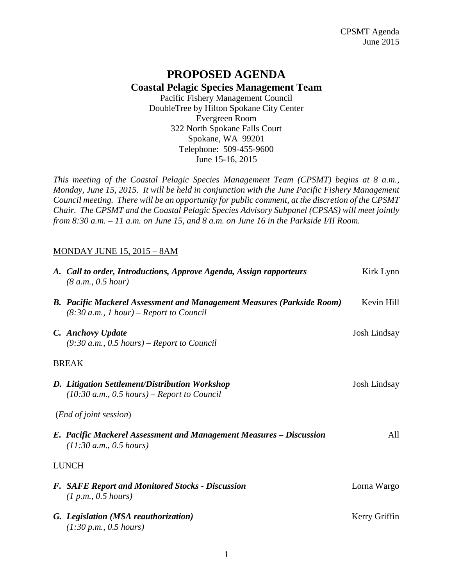## **PROPOSED AGENDA Coastal Pelagic Species Management Team**

Pacific Fishery Management Council DoubleTree by Hilton Spokane City Center Evergreen Room 322 North Spokane Falls Court Spokane, WA 99201 Telephone: 509-455-9600 June 15-16, 2015

*This meeting of the Coastal Pelagic Species Management Team (CPSMT) begins at 8 a.m., Monday, June 15, 2015. It will be held in conjunction with the June Pacific Fishery Management Council meeting. There will be an opportunity for public comment, at the discretion of the CPSMT Chair. The CPSMT and the Coastal Pelagic Species Advisory Subpanel (CPSAS) will meet jointly from 8:30 a.m. – 11 a.m. on June 15, and 8 a.m. on June 16 in the Parkside I/II Room.*

## MONDAY JUNE 15, 2015 – 8AM

| A. Call to order, Introductions, Approve Agenda, Assign rapporteurs<br>(8 a.m., 0.5 hour)                                  | Kirk Lynn           |
|----------------------------------------------------------------------------------------------------------------------------|---------------------|
| <b>B.</b> Pacific Mackerel Assessment and Management Measures (Parkside Room)<br>$(8:30 a.m., 1 hour)$ – Report to Council | Kevin Hill          |
| C. Anchovy Update<br>$(9:30 a.m., 0.5 hours)$ – Report to Council                                                          | Josh Lindsay        |
| <b>BREAK</b>                                                                                                               |                     |
| D. Litigation Settlement/Distribution Workshop<br>$(10:30 a.m., 0.5 hours)$ – Report to Council                            | <b>Josh Lindsay</b> |
| ( <i>End of joint session</i> )                                                                                            |                     |
| E. Pacific Mackerel Assessment and Management Measures – Discussion<br>(11:30 a.m., 0.5 hours)                             | All                 |
| <b>LUNCH</b>                                                                                                               |                     |
| <b>F.</b> SAFE Report and Monitored Stocks - Discussion<br>(1 p.m., 0.5 hours)                                             | Lorna Wargo         |
| G. Legislation (MSA reauthorization)<br>(1:30 p.m., 0.5 hours)                                                             | Kerry Griffin       |